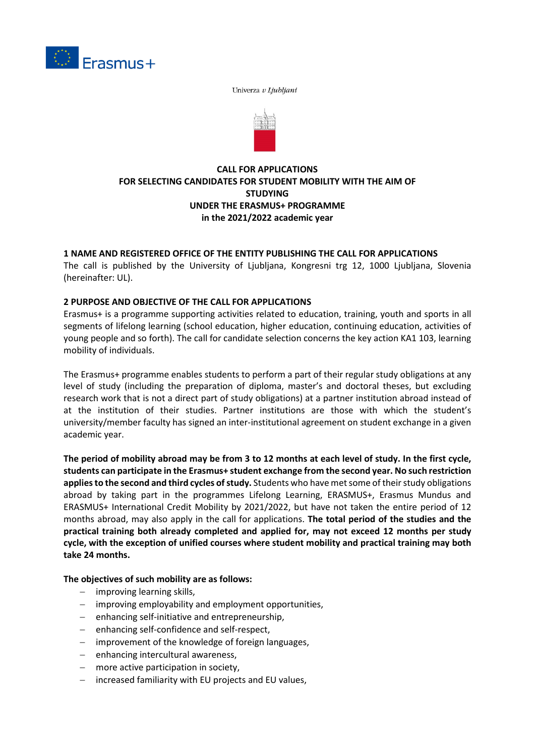

Univerza v Ljubljani



# **CALL FOR APPLICATIONS FOR SELECTING CANDIDATES FOR STUDENT MOBILITY WITH THE AIM OF STUDYING UNDER THE ERASMUS+ PROGRAMME in the 2021/2022 academic year**

# **1 NAME AND REGISTERED OFFICE OF THE ENTITY PUBLISHING THE CALL FOR APPLICATIONS**

The call is published by the University of Ljubljana, Kongresni trg 12, 1000 Ljubljana, Slovenia (hereinafter: UL).

## **2 PURPOSE AND OBJECTIVE OF THE CALL FOR APPLICATIONS**

Erasmus+ is a programme supporting activities related to education, training, youth and sports in all segments of lifelong learning (school education, higher education, continuing education, activities of young people and so forth). The call for candidate selection concerns the key action KA1 103, learning mobility of individuals.

The Erasmus+ programme enables students to perform a part of their regular study obligations at any level of study (including the preparation of diploma, master's and doctoral theses, but excluding research work that is not a direct part of study obligations) at a partner institution abroad instead of at the institution of their studies. Partner institutions are those with which the student's university/member faculty has signed an inter-institutional agreement on student exchange in a given academic year.

**The period of mobility abroad may be from 3 to 12 months at each level of study. In the first cycle, students can participate in the Erasmus+ student exchange from the second year. No such restriction applies to the second and third cycles of study.** Students who have met some of their study obligations abroad by taking part in the programmes Lifelong Learning, ERASMUS+, Erasmus Mundus and ERASMUS+ International Credit Mobility by 2021/2022, but have not taken the entire period of 12 months abroad, may also apply in the call for applications. **The total period of the studies and the practical training both already completed and applied for, may not exceed 12 months per study cycle, with the exception of unified courses where student mobility and practical training may both take 24 months.** 

#### **The objectives of such mobility are as follows:**

- − improving learning skills,
- − improving employability and employment opportunities,
- − enhancing self-initiative and entrepreneurship,
- − enhancing self-confidence and self-respect,
- − improvement of the knowledge of foreign languages,
- − enhancing intercultural awareness,
- − more active participation in society,
- − increased familiarity with EU projects and EU values,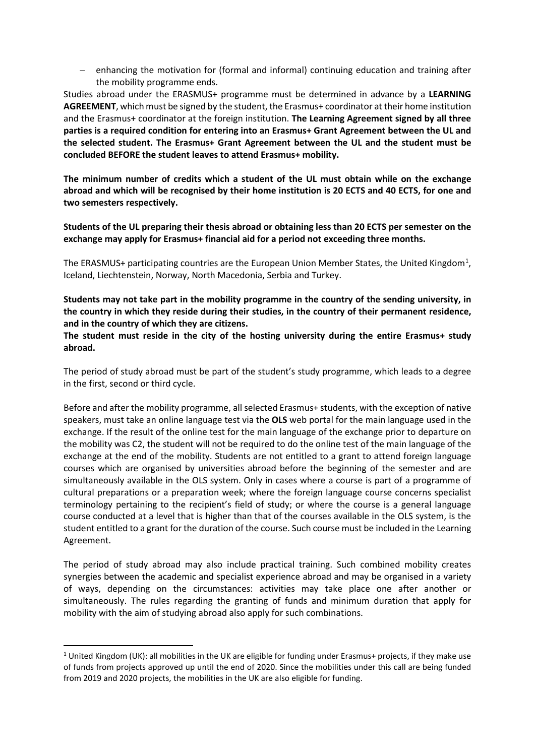enhancing the motivation for (formal and informal) continuing education and training after the mobility programme ends.

Studies abroad under the ERASMUS+ programme must be determined in advance by a **LEARNING AGREEMENT**, which must be signed by the student, the Erasmus+ coordinator at their home institution and the Erasmus+ coordinator at the foreign institution. **The Learning Agreement signed by all three parties is a required condition for entering into an Erasmus+ Grant Agreement between the UL and the selected student. The Erasmus+ Grant Agreement between the UL and the student must be concluded BEFORE the student leaves to attend Erasmus+ mobility.**

**The minimum number of credits which a student of the UL must obtain while on the exchange abroad and which will be recognised by their home institution is 20 ECTS and 40 ECTS, for one and two semesters respectively.**

**Students of the UL preparing their thesis abroad or obtaining less than 20 ECTS per semester on the exchange may apply for Erasmus+ financial aid for a period not exceeding three months.**

The ERASMUS+ participating countries are the European Union Member States, the United Kingdom<sup>[1](#page-1-0)</sup>, Iceland, Liechtenstein, Norway, North Macedonia, Serbia and Turkey.

**Students may not take part in the mobility programme in the country of the sending university, in the country in which they reside during their studies, in the country of their permanent residence, and in the country of which they are citizens.**

**The student must reside in the city of the hosting university during the entire Erasmus+ study abroad.**

The period of study abroad must be part of the student's study programme, which leads to a degree in the first, second or third cycle.

Before and after the mobility programme, all selected Erasmus+ students, with the exception of native speakers, must take an online language test via the **OLS** web portal for the main language used in the exchange. If the result of the online test for the main language of the exchange prior to departure on the mobility was C2, the student will not be required to do the online test of the main language of the exchange at the end of the mobility. Students are not entitled to a grant to attend foreign language courses which are organised by universities abroad before the beginning of the semester and are simultaneously available in the OLS system. Only in cases where a course is part of a programme of cultural preparations or a preparation week; where the foreign language course concerns specialist terminology pertaining to the recipient's field of study; or where the course is a general language course conducted at a level that is higher than that of the courses available in the OLS system, is the student entitled to a grant for the duration of the course. Such course must be included in the Learning Agreement.

The period of study abroad may also include practical training. Such combined mobility creates synergies between the academic and specialist experience abroad and may be organised in a variety of ways, depending on the circumstances: activities may take place one after another or simultaneously. The rules regarding the granting of funds and minimum duration that apply for mobility with the aim of studying abroad also apply for such combinations.

<span id="page-1-0"></span><sup>&</sup>lt;sup>1</sup> United Kingdom (UK): all mobilities in the UK are eligible for funding under Erasmus+ projects, if they make use of funds from projects approved up until the end of 2020. Since the mobilities under this call are being funded from 2019 and 2020 projects, the mobilities in the UK are also eligible for funding.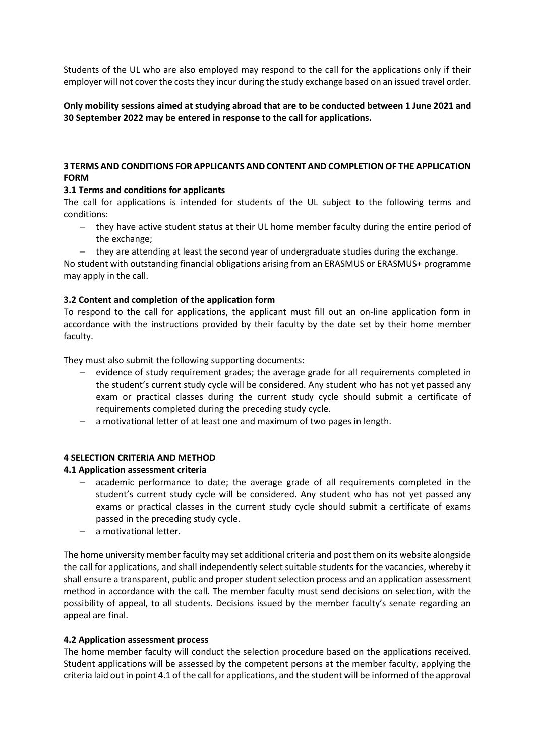Students of the UL who are also employed may respond to the call for the applications only if their employer will not cover the costs they incur during the study exchange based on an issued travel order.

## **Only mobility sessions aimed at studying abroad that are to be conducted between 1 June 2021 and 30 September 2022 may be entered in response to the call for applications.**

## **3 TERMS AND CONDITIONS FOR APPLICANTS AND CONTENT AND COMPLETION OF THE APPLICATION FORM**

## **3.1 Terms and conditions for applicants**

The call for applications is intended for students of the UL subject to the following terms and conditions:

- − they have active student status at their UL home member faculty during the entire period of the exchange;
	- − they are attending at least the second year of undergraduate studies during the exchange.

No student with outstanding financial obligations arising from an ERASMUS or ERASMUS+ programme may apply in the call.

## **3.2 Content and completion of the application form**

To respond to the call for applications, the applicant must fill out an on-line application form in accordance with the instructions provided by their faculty by the date set by their home member faculty.

They must also submit the following supporting documents:

- evidence of study requirement grades; the average grade for all requirements completed in the student's current study cycle will be considered. Any student who has not yet passed any exam or practical classes during the current study cycle should submit a certificate of requirements completed during the preceding study cycle.
- a motivational letter of at least one and maximum of two pages in length.

# **4 SELECTION CRITERIA AND METHOD**

#### **4.1 Application assessment criteria**

- academic performance to date; the average grade of all requirements completed in the student's current study cycle will be considered. Any student who has not yet passed any exams or practical classes in the current study cycle should submit a certificate of exams passed in the preceding study cycle.
- a motivational letter.

The home university member faculty may set additional criteria and post them on its website alongside the call for applications, and shall independently select suitable students for the vacancies, whereby it shall ensure a transparent, public and proper student selection process and an application assessment method in accordance with the call. The member faculty must send decisions on selection, with the possibility of appeal, to all students. Decisions issued by the member faculty's senate regarding an appeal are final.

#### **4.2 Application assessment process**

The home member faculty will conduct the selection procedure based on the applications received. Student applications will be assessed by the competent persons at the member faculty, applying the criteria laid out in point 4.1 of the call for applications, and the student will be informed of the approval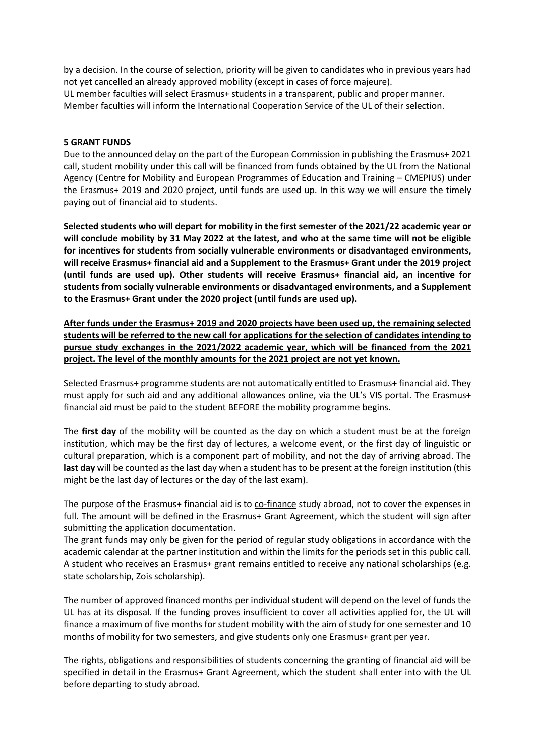by a decision. In the course of selection, priority will be given to candidates who in previous years had not yet cancelled an already approved mobility (except in cases of force majeure). UL member faculties will select Erasmus+ students in a transparent, public and proper manner. Member faculties will inform the International Cooperation Service of the UL of their selection.

### **5 GRANT FUNDS**

Due to the announced delay on the part of the European Commission in publishing the Erasmus+ 2021 call, student mobility under this call will be financed from funds obtained by the UL from the National Agency (Centre for Mobility and European Programmes of Education and Training – CMEPIUS) under the Erasmus+ 2019 and 2020 project, until funds are used up. In this way we will ensure the timely paying out of financial aid to students.

**Selected students who will depart for mobility in the first semester of the 2021/22 academic year or will conclude mobility by 31 May 2022 at the latest, and who at the same time will not be eligible for incentives for students from socially vulnerable environments or disadvantaged environments, will receive Erasmus+ financial aid and a Supplement to the Erasmus+ Grant under the 2019 project (until funds are used up). Other students will receive Erasmus+ financial aid, an incentive for students from socially vulnerable environments or disadvantaged environments, and a Supplement to the Erasmus+ Grant under the 2020 project (until funds are used up).**

**After funds under the Erasmus+ 2019 and 2020 projects have been used up, the remaining selected students will be referred to the new call for applications for the selection of candidates intending to pursue study exchanges in the 2021/2022 academic year, which will be financed from the 2021 project. The level of the monthly amounts for the 2021 project are not yet known.**

Selected Erasmus+ programme students are not automatically entitled to Erasmus+ financial aid. They must apply for such aid and any additional allowances online, via the UL's VIS portal. The Erasmus+ financial aid must be paid to the student BEFORE the mobility programme begins.

The **first day** of the mobility will be counted as the day on which a student must be at the foreign institution, which may be the first day of lectures, a welcome event, or the first day of linguistic or cultural preparation, which is a component part of mobility, and not the day of arriving abroad. The **last day** will be counted as the last day when a student has to be present at the foreign institution (this might be the last day of lectures or the day of the last exam).

The purpose of the Erasmus+ financial aid is to co-finance study abroad, not to cover the expenses in full. The amount will be defined in the Erasmus+ Grant Agreement, which the student will sign after submitting the application documentation.

The grant funds may only be given for the period of regular study obligations in accordance with the academic calendar at the partner institution and within the limits for the periods set in this public call. A student who receives an Erasmus+ grant remains entitled to receive any national scholarships (e.g. state scholarship, Zois scholarship).

The number of approved financed months per individual student will depend on the level of funds the UL has at its disposal. If the funding proves insufficient to cover all activities applied for, the UL will finance a maximum of five months for student mobility with the aim of study for one semester and 10 months of mobility for two semesters, and give students only one Erasmus+ grant per year.

The rights, obligations and responsibilities of students concerning the granting of financial aid will be specified in detail in the Erasmus+ Grant Agreement, which the student shall enter into with the UL before departing to study abroad.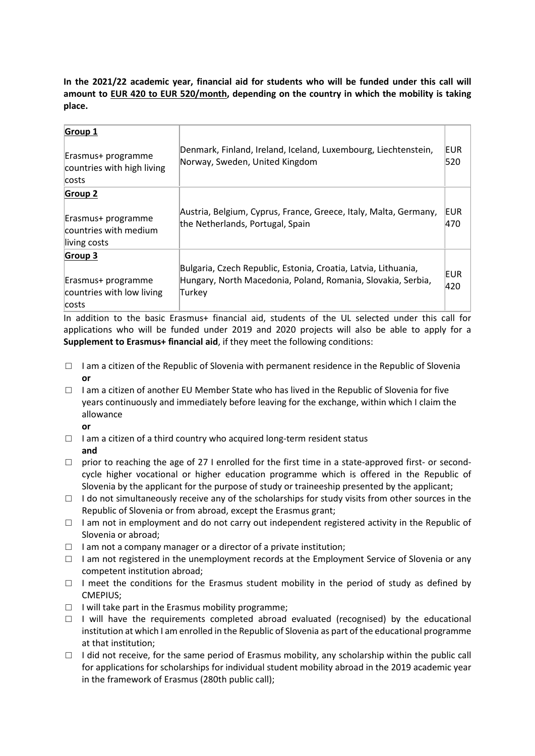**In the 2021/22 academic year, financial aid for students who will be funded under this call will amount to EUR 420 to EUR 520/month, depending on the country in which the mobility is taking place.** 

| Group 1<br>Erasmus+ programme<br>countries with high living<br>costs          | Denmark, Finland, Ireland, Iceland, Luxembourg, Liechtenstein,<br>Norway, Sweden, United Kingdom                                         | EUR<br>520 |
|-------------------------------------------------------------------------------|------------------------------------------------------------------------------------------------------------------------------------------|------------|
| <b>Group 2</b><br>Erasmus+ programme<br>countries with medium<br>living costs | Austria, Belgium, Cyprus, France, Greece, Italy, Malta, Germany,<br>the Netherlands, Portugal, Spain                                     | EUR<br>470 |
| Group 3<br>Erasmus+ programme<br>countries with low living<br>costs           | Bulgaria, Czech Republic, Estonia, Croatia, Latvia, Lithuania,<br>Hungary, North Macedonia, Poland, Romania, Slovakia, Serbia,<br>Turkey | EUR<br>420 |

In addition to the basic Erasmus+ financial aid, students of the UL selected under this call for applications who will be funded under 2019 and 2020 projects will also be able to apply for a **Supplement to Erasmus+ financial aid**, if they meet the following conditions:

- $\Box$  I am a citizen of the Republic of Slovenia with permanent residence in the Republic of Slovenia **or**
- $\Box$  I am a citizen of another EU Member State who has lived in the Republic of Slovenia for five years continuously and immediately before leaving for the exchange, within which I claim the allowance
	- **or**
- $\Box$  I am a citizen of a third country who acquired long-term resident status **and**
- $\Box$  prior to reaching the age of 27 I enrolled for the first time in a state-approved first- or secondcycle higher vocational or higher education programme which is offered in the Republic of Slovenia by the applicant for the purpose of study or traineeship presented by the applicant;
- $\Box$  I do not simultaneously receive any of the scholarships for study visits from other sources in the Republic of Slovenia or from abroad, except the Erasmus grant;
- $\Box$  I am not in employment and do not carry out independent registered activity in the Republic of Slovenia or abroad;
- $\Box$  I am not a company manager or a director of a private institution;
- □ I am not registered in the unemployment records at the Employment Service of Slovenia or any competent institution abroad;
- $\Box$  I meet the conditions for the Erasmus student mobility in the period of study as defined by CMEPIUS;
- $\Box$  I will take part in the Erasmus mobility programme;
- $\Box$  I will have the requirements completed abroad evaluated (recognised) by the educational institution at which I am enrolled in the Republic of Slovenia as part of the educational programme at that institution;
- $\Box$  I did not receive, for the same period of Erasmus mobility, any scholarship within the public call for applications for scholarships for individual student mobility abroad in the 2019 academic year in the framework of Erasmus (280th public call);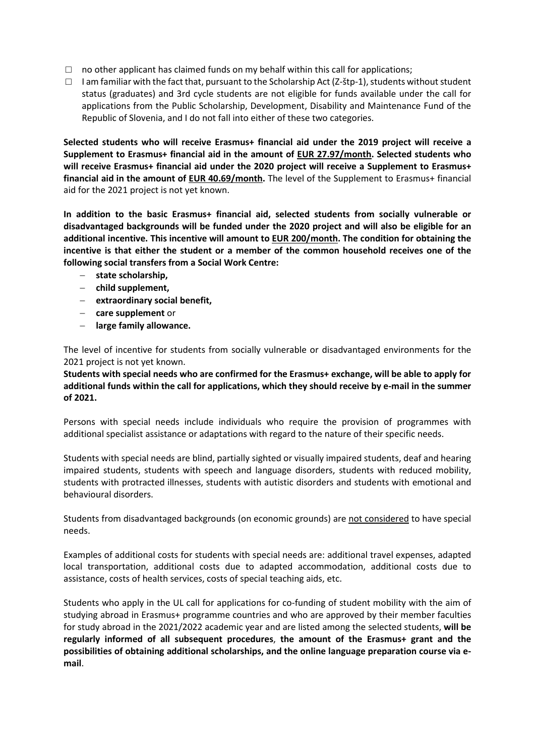- $\Box$  no other applicant has claimed funds on my behalf within this call for applications;
- $\Box$  I am familiar with the fact that, pursuant to the Scholarship Act (Z-štp-1), students without student status (graduates) and 3rd cycle students are not eligible for funds available under the call for applications from the Public Scholarship, Development, Disability and Maintenance Fund of the Republic of Slovenia, and I do not fall into either of these two categories.

**Selected students who will receive Erasmus+ financial aid under the 2019 project will receive a Supplement to Erasmus+ financial aid in the amount of EUR 27.97/month. Selected students who will receive Erasmus+ financial aid under the 2020 project will receive a Supplement to Erasmus+ financial aid in the amount of EUR 40.69/month.** The level of the Supplement to Erasmus+ financial aid for the 2021 project is not yet known.

**In addition to the basic Erasmus+ financial aid, selected students from socially vulnerable or disadvantaged backgrounds will be funded under the 2020 project and will also be eligible for an additional incentive. This incentive will amount to EUR 200/month. The condition for obtaining the incentive is that either the student or a member of the common household receives one of the following social transfers from a Social Work Centre:**

- − **state scholarship,**
- − **child supplement,**
- − **extraordinary social benefit,**
- − **care supplement** or
- − **large family allowance.**

The level of incentive for students from socially vulnerable or disadvantaged environments for the 2021 project is not yet known.

**Students with special needs who are confirmed for the Erasmus+ exchange, will be able to apply for additional funds within the call for applications, which they should receive by e-mail in the summer of 2021.**

Persons with special needs include individuals who require the provision of programmes with additional specialist assistance or adaptations with regard to the nature of their specific needs.

Students with special needs are blind, partially sighted or visually impaired students, deaf and hearing impaired students, students with speech and language disorders, students with reduced mobility, students with protracted illnesses, students with autistic disorders and students with emotional and behavioural disorders.

Students from disadvantaged backgrounds (on economic grounds) are not considered to have special needs.

Examples of additional costs for students with special needs are: additional travel expenses, adapted local transportation, additional costs due to adapted accommodation, additional costs due to assistance, costs of health services, costs of special teaching aids, etc.

Students who apply in the UL call for applications for co-funding of student mobility with the aim of studying abroad in Erasmus+ programme countries and who are approved by their member faculties for study abroad in the 2021/2022 academic year and are listed among the selected students, **will be regularly informed of all subsequent procedures**, **the amount of the Erasmus+ grant and the possibilities of obtaining additional scholarships, and the online language preparation course via email**.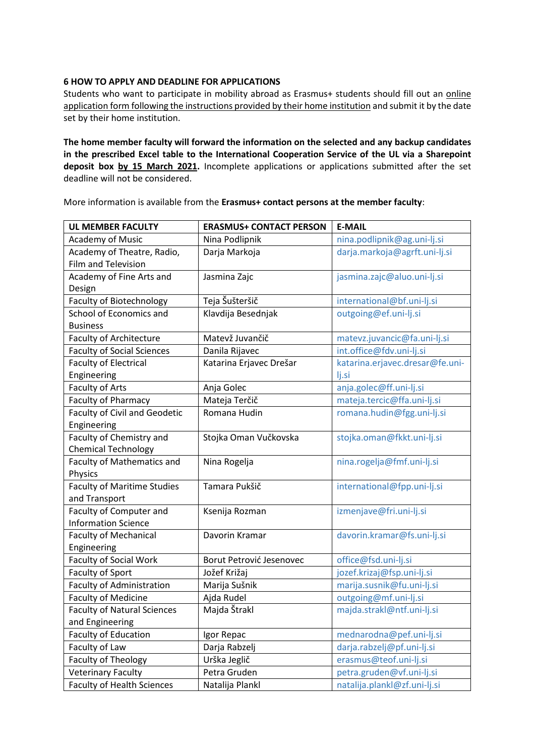### **6 HOW TO APPLY AND DEADLINE FOR APPLICATIONS**

Students who want to participate in mobility abroad as Erasmus+ students should fill out an online application form following the instructions provided by their home institution and submit it by the date set by their home institution.

**The home member faculty will forward the information on the selected and any backup candidates in the prescribed Excel table to the International Cooperation Service of the UL via a Sharepoint deposit box by 15 March 2021.** Incomplete applications or applications submitted after the set deadline will not be considered.

More information is available from the **Erasmus+ contact persons at the member faculty**:

| <b>UL MEMBER FACULTY</b>             | <b>ERASMUS+ CONTACT PERSON</b> | <b>E-MAIL</b>                   |
|--------------------------------------|--------------------------------|---------------------------------|
| <b>Academy of Music</b>              | Nina Podlipnik                 | nina.podlipnik@ag.uni-lj.si     |
| Academy of Theatre, Radio,           | Darja Markoja                  | darja.markoja@agrft.uni-lj.si   |
| <b>Film and Television</b>           |                                |                                 |
| Academy of Fine Arts and             | Jasmina Zajc                   | jasmina.zajc@aluo.uni-lj.si     |
| Design                               |                                |                                 |
| <b>Faculty of Biotechnology</b>      | Teja Šušteršič                 | international@bf.uni-lj.si      |
| School of Economics and              | Klavdija Besednjak             | outgoing@ef.uni-lj.si           |
| <b>Business</b>                      |                                |                                 |
| <b>Faculty of Architecture</b>       | Matevž Juvančič                | matevz.juvancic@fa.uni-lj.si    |
| <b>Faculty of Social Sciences</b>    | Danila Rijavec                 | int.office@fdv.uni-lj.si        |
| <b>Faculty of Electrical</b>         | Katarina Erjavec Drešar        | katarina.erjavec.dresar@fe.uni- |
| Engineering                          |                                | lj.si                           |
| Faculty of Arts                      | Anja Golec                     | anja.golec@ff.uni-lj.si         |
| Faculty of Pharmacy                  | Mateja Terčič                  | mateja.tercic@ffa.uni-lj.si     |
| <b>Faculty of Civil and Geodetic</b> | Romana Hudin                   | romana.hudin@fgg.uni-lj.si      |
| Engineering                          |                                |                                 |
| Faculty of Chemistry and             | Stojka Oman Vučkovska          | stojka.oman@fkkt.uni-lj.si      |
| <b>Chemical Technology</b>           |                                |                                 |
| <b>Faculty of Mathematics and</b>    | Nina Rogelja                   | nina.rogelja@fmf.uni-lj.si      |
| <b>Physics</b>                       |                                |                                 |
| <b>Faculty of Maritime Studies</b>   | Tamara Pukšič                  | international@fpp.uni-lj.si     |
| and Transport                        |                                |                                 |
| Faculty of Computer and              | Ksenija Rozman                 | izmenjave@fri.uni-lj.si         |
| <b>Information Science</b>           |                                |                                 |
| <b>Faculty of Mechanical</b>         | Davorin Kramar                 | davorin.kramar@fs.uni-lj.si     |
| Engineering                          |                                |                                 |
| <b>Faculty of Social Work</b>        | Borut Petrović Jesenovec       | office@fsd.uni-lj.si            |
| Faculty of Sport                     | Jožef Križaj                   | jozef.krizaj@fsp.uni-lj.si      |
| Faculty of Administration            | Marija Sušnik                  | marija.susnik@fu.uni-lj.si      |
| <b>Faculty of Medicine</b>           | Ajda Rudel                     | outgoing@mf.uni-lj.si           |
| <b>Faculty of Natural Sciences</b>   | Majda Štrakl                   | majda.strakl@ntf.uni-lj.si      |
| and Engineering                      |                                |                                 |
| <b>Faculty of Education</b>          | Igor Repac                     | mednarodna@pef.uni-lj.si        |
| Faculty of Law                       | Darja Rabzelj                  | darja.rabzelj@pf.uni-lj.si      |
| Faculty of Theology                  | Urška Jeglič                   | erasmus@teof.uni-lj.si          |
| <b>Veterinary Faculty</b>            | Petra Gruden                   | petra.gruden@vf.uni-lj.si       |
| <b>Faculty of Health Sciences</b>    | Natalija Plankl                | natalija.plankl@zf.uni-lj.si    |